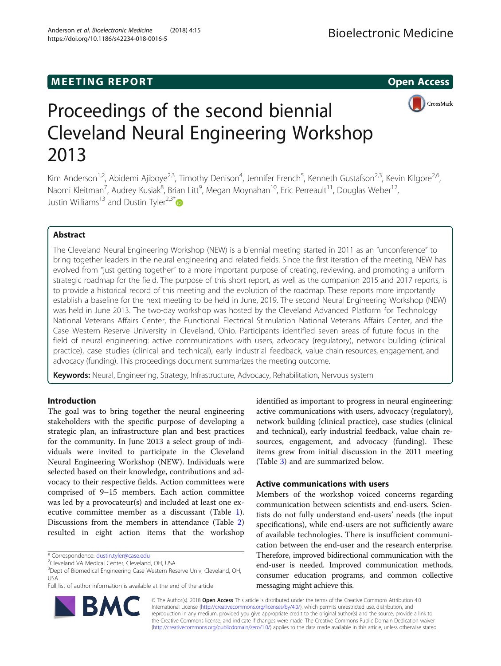## **MEETING REPORT CONSUMING A REPORT** AND THE SECOND ACCESS OPEN ACCESS

https://doi.org/10.1186/s42234-018-0016-5

Anderson et al. Bioelectronic Medicine (2018) 4:15



# Proceedings of the second biennial Cleveland Neural Engineering Workshop 2013

Kim Anderson<sup>1,2</sup>, Abidemi Ajiboye<sup>2,3</sup>, Timothy Denison<sup>4</sup>, Jennifer French<sup>5</sup>, Kenneth Gustafson<sup>2,3</sup>, Kevin Kilgore<sup>2,6</sup>, Naomi Kleitman<sup>7</sup>, Audrey Kusiak<sup>8</sup>, Brian Litt<sup>9</sup>, Megan Moynahan<sup>10</sup>, Eric Perreault<sup>11</sup>, Douglas Weber<sup>12</sup>, Justin Williams<sup>13</sup> and Dustin Tyler<sup>2,3\*</sup>

## Abstract

The Cleveland Neural Engineering Workshop (NEW) is a biennial meeting started in 2011 as an "unconference" to bring together leaders in the neural engineering and related fields. Since the first iteration of the meeting, NEW has evolved from "just getting together" to a more important purpose of creating, reviewing, and promoting a uniform strategic roadmap for the field. The purpose of this short report, as well as the companion 2015 and 2017 reports, is to provide a historical record of this meeting and the evolution of the roadmap. These reports more importantly establish a baseline for the next meeting to be held in June, 2019. The second Neural Engineering Workshop (NEW) was held in June 2013. The two-day workshop was hosted by the Cleveland Advanced Platform for Technology National Veterans Affairs Center, the Functional Electrical Stimulation National Veterans Affairs Center, and the Case Western Reserve University in Cleveland, Ohio. Participants identified seven areas of future focus in the field of neural engineering: active communications with users, advocacy (regulatory), network building (clinical practice), case studies (clinical and technical), early industrial feedback, value chain resources, engagement, and advocacy (funding). This proceedings document summarizes the meeting outcome.

Keywords: Neural, Engineering, Strategy, Infrastructure, Advocacy, Rehabilitation, Nervous system

## Introduction

The goal was to bring together the neural engineering stakeholders with the specific purpose of developing a strategic plan, an infrastructure plan and best practices for the community. In June 2013 a select group of individuals were invited to participate in the Cleveland Neural Engineering Workshop (NEW). Individuals were selected based on their knowledge, contributions and advocacy to their respective fields. Action committees were comprised of 9–15 members. Each action committee was led by a provocateur(s) and included at least one executive committee member as a discussant (Table [1](#page-1-0)). Discussions from the members in attendance (Table [2](#page-1-0)) resulted in eight action items that the workshop

identified as important to progress in neural engineering: active communications with users, advocacy (regulatory), network building (clinical practice), case studies (clinical and technical), early industrial feedback, value chain resources, engagement, and advocacy (funding). These items grew from initial discussion in the 2011 meeting (Table [3\)](#page-2-0) and are summarized below.

## Active communications with users

Members of the workshop voiced concerns regarding communication between scientists and end-users. Scientists do not fully understand end-users' needs (the input specifications), while end-users are not sufficiently aware of available technologies. There is insufficient communication between the end-user and the research enterprise. Therefore, improved bidirectional communication with the end-user is needed. Improved communication methods, consumer education programs, and common collective messaging might achieve this.

© The Author(s). 2018 Open Access This article is distributed under the terms of the Creative Commons Attribution 4.0 International License [\(http://creativecommons.org/licenses/by/4.0/](http://creativecommons.org/licenses/by/4.0/)), which permits unrestricted use, distribution, and reproduction in any medium, provided you give appropriate credit to the original author(s) and the source, provide a link to the Creative Commons license, and indicate if changes were made. The Creative Commons Public Domain Dedication waiver [\(http://creativecommons.org/publicdomain/zero/1.0/](http://creativecommons.org/publicdomain/zero/1.0/)) applies to the data made available in this article, unless otherwise stated.



<sup>\*</sup> Correspondence: [dustin.tyler@case.edu](mailto:dustin.tyler@case.edu) <sup>2</sup>

<sup>&</sup>lt;sup>2</sup>Cleveland VA Medical Center, Cleveland, OH, USA

<sup>&</sup>lt;sup>3</sup>Dept of Biomedical Engineering Case Western Reserve Univ, Cleveland, OH, USA

Full list of author information is available at the end of the article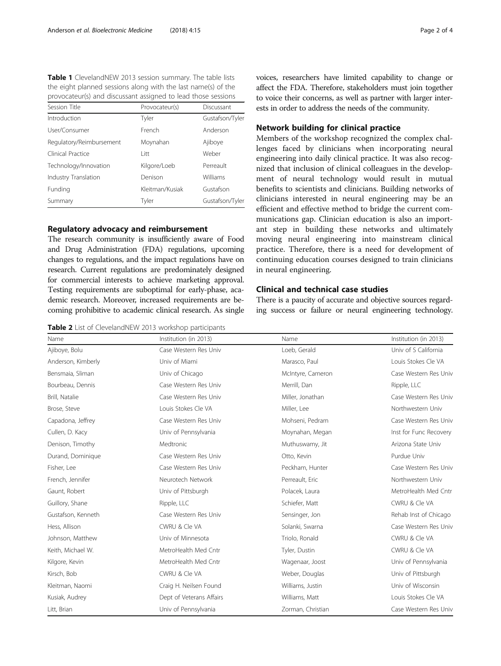<span id="page-1-0"></span>Table 1 ClevelandNEW 2013 session summary. The table lists the eight planned sessions along with the last name(s) of the provocateur(s) and discussant assigned to lead those sessions

| Session Title            | Provocateur(s)  | Discussant      |
|--------------------------|-----------------|-----------------|
| Introduction             | Tyler           | Gustafson/Tyler |
| User/Consumer            | French          | Anderson        |
| Regulatory/Reimbursement | Moynahan        | Ajiboye         |
| Clinical Practice        | Litt            | Weber           |
| Technology/Innovation    | Kilgore/Loeb    | Perreault       |
| Industry Translation     | Denison         | Williams        |
| Funding                  | Kleitman/Kusiak | Gustafson       |
| Summary                  | Tyler           | Gustafson/Tyler |

## Regulatory advocacy and reimbursement

The research community is insufficiently aware of Food and Drug Administration (FDA) regulations, upcoming changes to regulations, and the impact regulations have on research. Current regulations are predominately designed for commercial interests to achieve marketing approval. Testing requirements are suboptimal for early-phase, academic research. Moreover, increased requirements are becoming prohibitive to academic clinical research. As single

Table 2 List of ClevelandNEW 2013 workshop participants

voices, researchers have limited capability to change or affect the FDA. Therefore, stakeholders must join together to voice their concerns, as well as partner with larger interests in order to address the needs of the community.

## Network building for clinical practice

Members of the workshop recognized the complex challenges faced by clinicians when incorporating neural engineering into daily clinical practice. It was also recognized that inclusion of clinical colleagues in the development of neural technology would result in mutual benefits to scientists and clinicians. Building networks of clinicians interested in neural engineering may be an efficient and effective method to bridge the current communications gap. Clinician education is also an important step in building these networks and ultimately moving neural engineering into mainstream clinical practice. Therefore, there is a need for development of continuing education courses designed to train clinicians in neural engineering.

## Clinical and technical case studies

There is a paucity of accurate and objective sources regarding success or failure or neural engineering technology.

| Name.              | Institution (in 2013)    | Name              | Institution (in 2013)  |
|--------------------|--------------------------|-------------------|------------------------|
| Ajiboye, Bolu      | Case Western Res Univ    | Loeb, Gerald      | Univ of S California   |
| Anderson, Kimberly | Univ of Miami            | Marasco, Paul     | Louis Stokes Cle VA    |
| Bensmaia, Sliman   | Univ of Chicago          | McIntyre, Cameron | Case Western Res Univ  |
| Bourbeau, Dennis   | Case Western Res Univ    | Merrill, Dan      | Ripple, LLC            |
| Brill, Natalie     | Case Western Res Univ    | Miller, Jonathan  | Case Western Res Univ  |
| Brose, Steve       | Louis Stokes Cle VA      | Miller, Lee       | Northwestern Univ      |
| Capadona, Jeffrey  | Case Western Res Univ    | Mohseni, Pedram   | Case Western Res Univ  |
| Cullen, D. Kacy    | Univ of Pennsylvania     | Moynahan, Megan   | Inst for Func Recovery |
| Denison, Timothy   | Medtronic                | Muthuswamy, Jit   | Arizona State Univ     |
| Durand, Dominique  | Case Western Res Univ    | Otto, Kevin       | Purdue Univ            |
| Fisher, Lee        | Case Western Res Univ    | Peckham, Hunter   | Case Western Res Univ  |
| French, Jennifer   | Neurotech Network        | Perreault, Eric   | Northwestern Univ      |
| Gaunt, Robert      | Univ of Pittsburgh       | Polacek, Laura    | MetroHealth Med Cntr   |
| Guillory, Shane    | Ripple, LLC              | Schiefer, Matt    | CWRU & Cle VA          |
| Gustafson, Kenneth | Case Western Res Univ    | Sensinger, Jon    | Rehab Inst of Chicago  |
| Hess, Allison      | CWRU & Cle VA            | Solanki, Swarna   | Case Western Res Univ  |
| Johnson, Matthew   | Univ of Minnesota        | Triolo, Ronald    | CWRU & Cle VA          |
| Keith, Michael W.  | MetroHealth Med Cntr     | Tyler, Dustin     | CWRU & Cle VA          |
| Kilgore, Kevin     | MetroHealth Med Cntr     | Wagenaar, Joost   | Univ of Pennsylvania   |
| Kirsch, Bob        | CWRU & Cle VA            | Weber, Douglas    | Univ of Pittsburgh     |
| Kleitman, Naomi    | Craig H. Neilsen Found   | Williams, Justin  | Univ of Wisconsin      |
| Kusiak, Audrey     | Dept of Veterans Affairs | Williams, Matt    | Louis Stokes Cle VA    |
| Litt, Brian        | Univ of Pennsylvania     | Zorman, Christian | Case Western Res Univ  |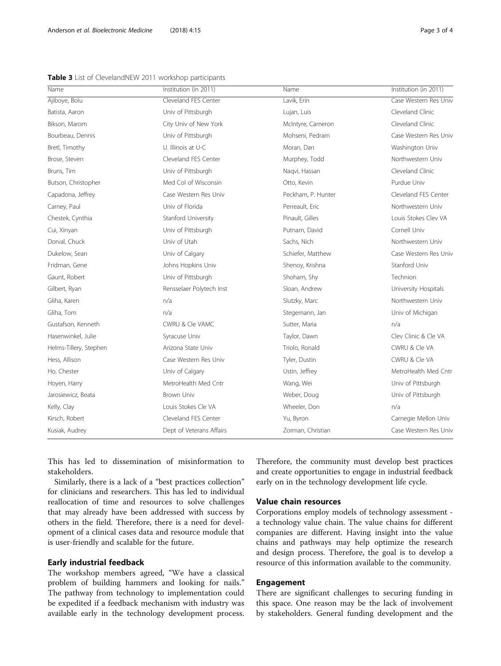<span id="page-2-0"></span>Anderson et al. Bioelectronic Medicine (2018) 4:15 Page 3 of 4

Table 3 List of ClevelandNEW 2011 workshop participants

| Name                   | Institution (in 2011)    | Name               | Institution (in 2011) |
|------------------------|--------------------------|--------------------|-----------------------|
| Ajiboye, Bolu          | Cleveland FES Center     | Lavik, Erin        | Case Western Res Univ |
| Batista, Aaron         | Univ of Pittsburgh       | Lujan, Luis        | Cleveland Clinic      |
| Bikson, Marom          | City Univ of New York    | McIntyre, Cameron  | Cleveland Clinic      |
| Bourbeau, Dennis       | Univ of Pittsburgh       | Mohseni, Pedram    | Case Western Res Univ |
| Bretl, Timothy         | U. Illinois at U-C       | Moran, Dan         | Washington Univ       |
| Brose, Steven          | Cleveland FES Center     | Murphey, Todd      | Northwestern Univ     |
| Bruns, Tim             | Univ of Pittsburgh       | Nagvi, Hassan      | Cleveland Clinic      |
| Butson, Christopher    | Med Col of Wisconsin     | Otto, Kevin        | Purdue Univ           |
| Capadona, Jeffrey      | Case Western Res Univ    | Peckham, P. Hunter | Cleveland FES Center  |
| Carney, Paul           | Univ of Florida          | Perreault, Eric    | Northwestern Univ     |
| Chestek, Cynthia       | Stanford University      | Pinault, Gilles    | Louis Stokes Clev VA  |
| Cui, Xinyan            | Univ of Pittsburgh       | Putnam, David      | Cornell Univ          |
| Dorval, Chuck          | Univ of Utah             | Sachs, Nich        | Northwestern Univ     |
| Dukelow, Sean          | Univ of Calgary          | Schiefer, Matthew  | Case Western Res Univ |
| Fridman, Gene          | Johns Hopkins Univ       | Shenoy, Krishna    | Stanford Univ         |
| Gaunt, Robert          | Univ of Pittsburgh       | Shoham, Shy        | Technion              |
| Gilbert, Ryan          | Rensselaer Polytech Inst | Sloan, Andrew      | University Hospitals  |
| Gliha, Karen           | n/a                      | Slutzky, Marc      | Northwestern Univ     |
| Gliha, Tom             | n/a                      | Stegemann, Jan     | Univ of Michigan      |
| Gustafson, Kenneth     | CWRU & Cle VAMC          | Sutter, Maria      | n/a                   |
| Hasenwinkel, Julie     | Syracuse Univ            | Taylor, Dawn       | Clev Clinic & Cle VA  |
| Helms-Tillery, Stephen | Arizona State Univ       | Triolo, Ronald     | CWRU & Cle VA         |
| Hess, Allison          | Case Western Res Univ    | Tyler, Dustin      | CWRU & Cle VA         |
| Ho, Chester            | Univ of Calgary          | Ustin, Jeffrey     | MetroHealth Med Cntr  |
| Hoyen, Harry           | MetroHealth Med Cntr     | Wang, Wei          | Univ of Pittsburgh    |
| Jarosiewicz, Beata     | <b>Brown Univ</b>        | Weber, Doug        | Univ of Pittsburgh    |
| Kelly, Clay            | Louis Stokes Cle VA      | Wheeler, Don       | n/a                   |
| Kirsch, Robert         | Cleveland FES Center     | Yu, Byron          | Carnegie Mellon Univ  |
| Kusiak, Audrey         | Dept of Veterans Affairs | Zorman, Christian  | Case Western Res Univ |

This has led to dissemination of misinformation to stakeholders.

Similarly, there is a lack of a "best practices collection" for clinicians and researchers. This has led to individual reallocation of time and resources to solve challenges that may already have been addressed with success by others in the field. Therefore, there is a need for development of a clinical cases data and resource module that is user-friendly and scalable for the future.

## Early industrial feedback

The workshop members agreed, "We have a classical problem of building hammers and looking for nails." The pathway from technology to implementation could be expedited if a feedback mechanism with industry was available early in the technology development process.

Therefore, the community must develop best practices and create opportunities to engage in industrial feedback early on in the technology development life cycle.

## Value chain resources

Corporations employ models of technology assessment a technology value chain. The value chains for different companies are different. Having insight into the value chains and pathways may help optimize the research and design process. Therefore, the goal is to develop a resource of this information available to the community.

## Engagement

There are significant challenges to securing funding in this space. One reason may be the lack of involvement by stakeholders. General funding development and the